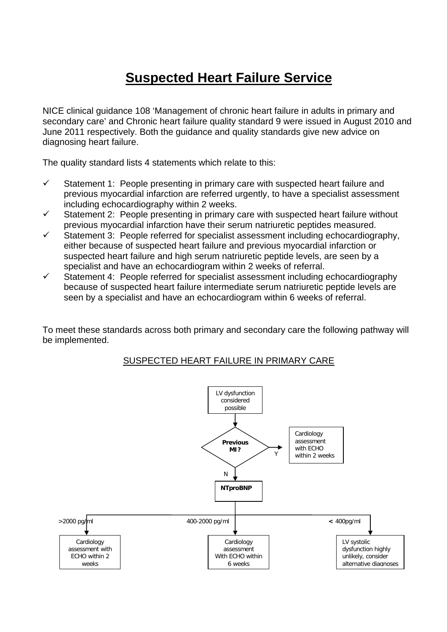# **Suspected Heart Failure Service**

NICE clinical guidance 108 'Management of chronic heart failure in adults in primary and secondary care' and Chronic heart failure quality standard 9 were issued in August 2010 and June 2011 respectively. Both the guidance and quality standards give new advice on diagnosing heart failure.

The quality standard lists 4 statements which relate to this:

- $\checkmark$  Statement 1: People presenting in primary care with suspected heart failure and previous myocardial infarction are referred urgently, to have a specialist assessment including echocardiography within 2 weeks.
- $\checkmark$  Statement 2: People presenting in primary care with suspected heart failure without previous myocardial infarction have their serum natriuretic peptides measured.
- $\checkmark$  Statement 3: People referred for specialist assessment including echocardiography, either because of suspected heart failure and previous myocardial infarction or suspected heart failure and high serum natriuretic peptide levels, are seen by a specialist and have an echocardiogram within 2 weeks of referral.
- $\checkmark$  Statement 4: People referred for specialist assessment including echocardiography because of suspected heart failure intermediate serum natriuretic peptide levels are seen by a specialist and have an echocardiogram within 6 weeks of referral.

To meet these standards across both primary and secondary care the following pathway will be implemented.

#### SUSPECTED HEART FAILURE IN PRIMARY CARE

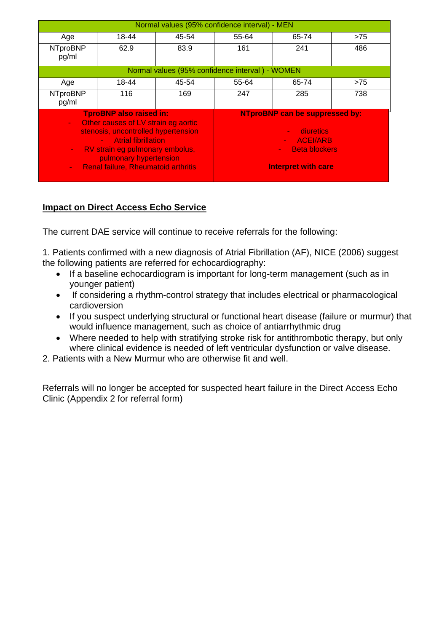|                                                                                                                                                                                                                                                                                                                  |       | Normal values (95% confidence interval) - MEN                                                                                                 |       |       |     |
|------------------------------------------------------------------------------------------------------------------------------------------------------------------------------------------------------------------------------------------------------------------------------------------------------------------|-------|-----------------------------------------------------------------------------------------------------------------------------------------------|-------|-------|-----|
| Age                                                                                                                                                                                                                                                                                                              | 18-44 | 45-54                                                                                                                                         | 55-64 | 65-74 | >75 |
| <b>NTproBNP</b><br>pg/ml                                                                                                                                                                                                                                                                                         | 62.9  | 83.9                                                                                                                                          | 161   | 241   | 486 |
|                                                                                                                                                                                                                                                                                                                  |       | Normal values (95% confidence interval) - WOMEN                                                                                               |       |       |     |
| Age                                                                                                                                                                                                                                                                                                              | 18-44 | 45-54                                                                                                                                         | 55-64 | 65-74 | >75 |
| <b>NTproBNP</b><br>pg/ml                                                                                                                                                                                                                                                                                         | 116   | 169                                                                                                                                           | 247   | 285   | 738 |
| <b>TproBNP also raised in:</b><br>Other causes of LV strain eg aortic<br>÷<br>stenosis, uncontrolled hypertension<br><b>Atrial fibrillation</b><br>$\Delta \sim 100$<br>RV strain eg pulmonary embolus,<br>$\sim$ $^{-1}$<br>pulmonary hypertension<br><b>Renal failure, Rheumatoid arthritis</b><br>$\sim 10^4$ |       | <b>NTproBNP can be suppressed by:</b><br>diuretics<br><b>ACEI/ARB</b><br><b>Beta blockers</b><br>$\sim$ $^{-1}$<br><b>Interpret with care</b> |       |       |     |

### **Impact on Direct Access Echo Service**

The current DAE service will continue to receive referrals for the following:

1. Patients confirmed with a new diagnosis of Atrial Fibrillation (AF), NICE (2006) suggest the following patients are referred for echocardiography:

- If a baseline echocardiogram is important for long-term management (such as in younger patient)
- If considering a rhythm-control strategy that includes electrical or pharmacological cardioversion
- If you suspect underlying structural or functional heart disease (failure or murmur) that would influence management, such as choice of antiarrhythmic drug
- Where needed to help with stratifying stroke risk for antithrombotic therapy, but only where clinical evidence is needed of left ventricular dysfunction or valve disease.
- 2. Patients with a New Murmur who are otherwise fit and well.

Referrals will no longer be accepted for suspected heart failure in the Direct Access Echo Clinic (Appendix 2 for referral form)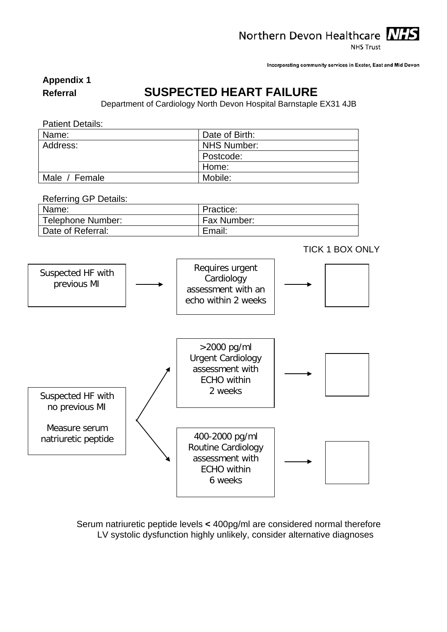Northern Devon Healthcare NHS

**NHS Trust** 

Incorporating community services in Exeter, East and Mid Devon

**Appendix 1**

### **Referral SUSPECTED HEART FAILURE**

Department of Cardiology North Devon Hospital Barnstaple EX31 4JB

| <b>Patient Details:</b> |                    |
|-------------------------|--------------------|
| Name:                   | Date of Birth:     |
| Address:                | <b>NHS Number:</b> |
|                         | Postcode:          |
|                         | Home:              |
| Male / Female           | Mobile:            |

Referring GP Details:

| Name:             | Practice:   |
|-------------------|-------------|
| Telephone Number: | Fax Number: |
| Date of Referral: | Email:      |



Serum natriuretic peptide levels **<** 400pg/ml are considered normal therefore LV systolic dysfunction highly unlikely, consider alternative diagnoses